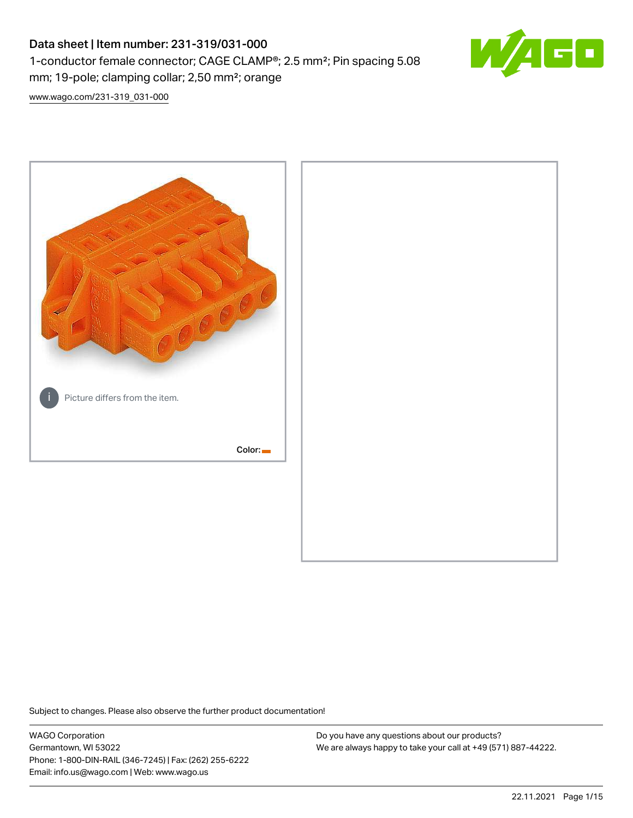# Data sheet | Item number: 231-319/031-000 1-conductor female connector; CAGE CLAMP®; 2.5 mm²; Pin spacing 5.08 mm; 19-pole; clamping collar; 2,50 mm²; orange



[www.wago.com/231-319\\_031-000](http://www.wago.com/231-319_031-000)



Subject to changes. Please also observe the further product documentation!

WAGO Corporation Germantown, WI 53022 Phone: 1-800-DIN-RAIL (346-7245) | Fax: (262) 255-6222 Email: info.us@wago.com | Web: www.wago.us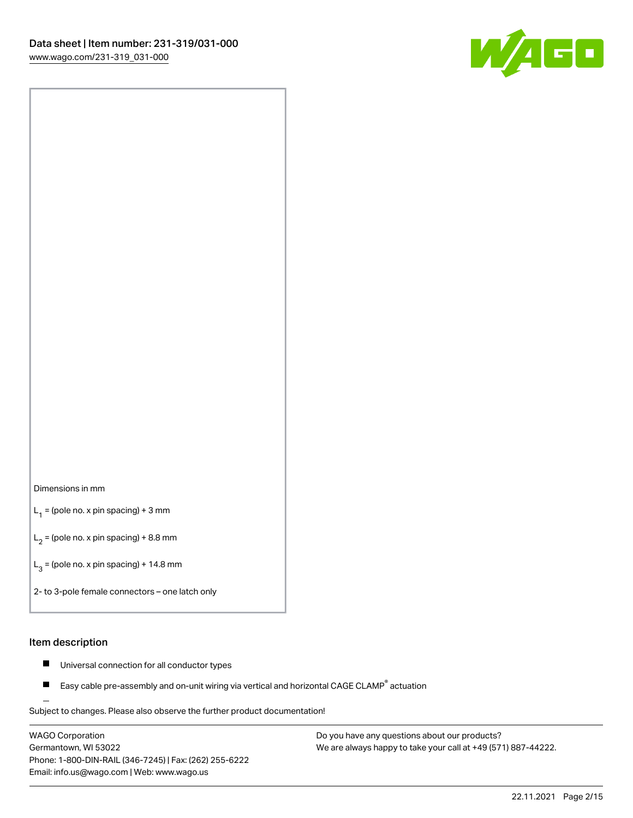

#### Dimensions in mm

 $L_1$  = (pole no. x pin spacing) + 3 mm

 $L_2$  = (pole no. x pin spacing) + 8.8 mm

 $L_3$  = (pole no. x pin spacing) + 14.8 mm

2- to 3-pole female connectors – one latch only

#### Item description

- Universal connection for all conductor types  $\blacksquare$
- Easy cable pre-assembly and on-unit wiring via vertical and horizontal CAGE CLAMP<sup>®</sup> actuation П

.<br>Subject to changes. Please also observe the further product documentation!

WAGO Corporation Germantown, WI 53022 Phone: 1-800-DIN-RAIL (346-7245) | Fax: (262) 255-6222 Email: info.us@wago.com | Web: www.wago.us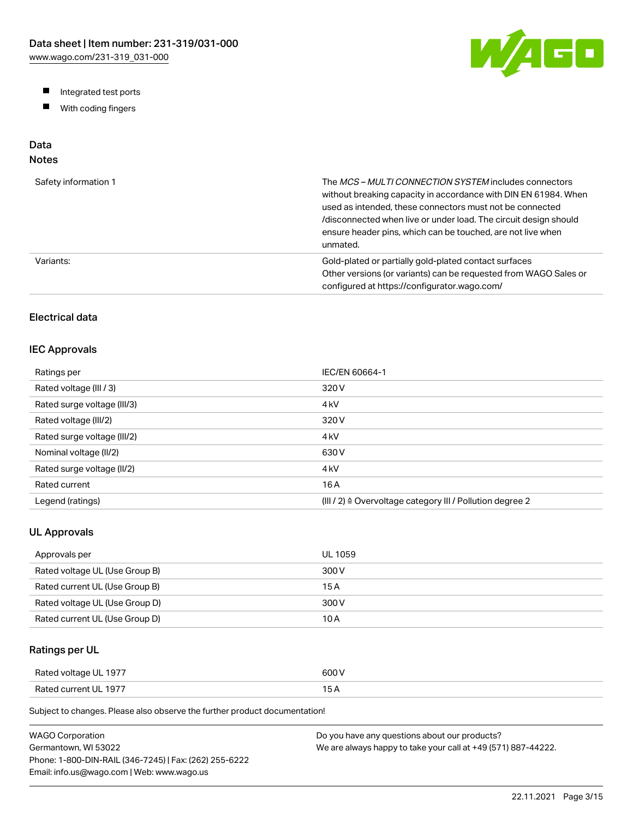W/AGO

- Integrated test ports
- $\blacksquare$ With coding fingers

# Data

# Notes

| Safety information 1 | The MCS-MULTI CONNECTION SYSTEM includes connectors<br>without breaking capacity in accordance with DIN EN 61984. When<br>used as intended, these connectors must not be connected<br>/disconnected when live or under load. The circuit design should<br>ensure header pins, which can be touched, are not live when<br>unmated. |
|----------------------|-----------------------------------------------------------------------------------------------------------------------------------------------------------------------------------------------------------------------------------------------------------------------------------------------------------------------------------|
| Variants:            | Gold-plated or partially gold-plated contact surfaces<br>Other versions (or variants) can be requested from WAGO Sales or<br>configured at https://configurator.wago.com/                                                                                                                                                         |

## Electrical data

### IEC Approvals

| Ratings per                 | IEC/EN 60664-1                                                        |
|-----------------------------|-----------------------------------------------------------------------|
| Rated voltage (III / 3)     | 320 V                                                                 |
| Rated surge voltage (III/3) | 4 <sub>kV</sub>                                                       |
| Rated voltage (III/2)       | 320 V                                                                 |
| Rated surge voltage (III/2) | 4 <sub>k</sub> V                                                      |
| Nominal voltage (II/2)      | 630 V                                                                 |
| Rated surge voltage (II/2)  | 4 <sub>k</sub> V                                                      |
| Rated current               | 16 A                                                                  |
| Legend (ratings)            | $(III / 2)$ $\triangle$ Overvoltage category III / Pollution degree 2 |

## UL Approvals

| Approvals per                  | <b>UL 1059</b> |
|--------------------------------|----------------|
| Rated voltage UL (Use Group B) | 300 V          |
| Rated current UL (Use Group B) | 15 A           |
| Rated voltage UL (Use Group D) | 300 V          |
| Rated current UL (Use Group D) | 10 A           |

## Ratings per UL

| Rated voltage UL 1977 | 600 V  |
|-----------------------|--------|
| Rated current UL 1977 | $\sim$ |

Subject to changes. Please also observe the further product documentation!

| WAGO Corporation                                       | Do you have any questions about our products?                 |
|--------------------------------------------------------|---------------------------------------------------------------|
| Germantown. WI 53022                                   | We are always happy to take your call at +49 (571) 887-44222. |
| Phone: 1-800-DIN-RAIL (346-7245)   Fax: (262) 255-6222 |                                                               |
| Email: info.us@wago.com   Web: www.wago.us             |                                                               |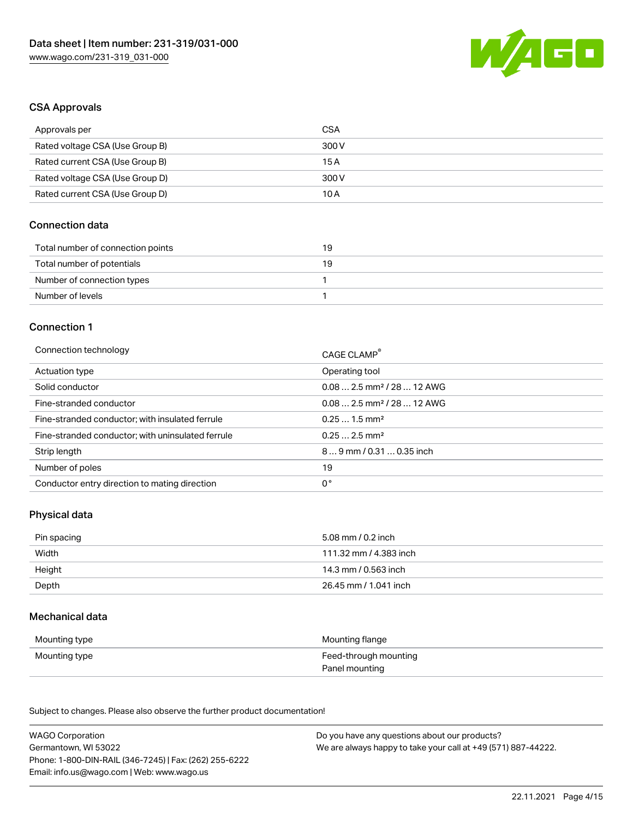

#### CSA Approvals

| Approvals per                   | CSA   |
|---------------------------------|-------|
| Rated voltage CSA (Use Group B) | 300 V |
| Rated current CSA (Use Group B) | 15 A  |
| Rated voltage CSA (Use Group D) | 300 V |
| Rated current CSA (Use Group D) | 10 A  |

## Connection data

| Total number of connection points | 19 |
|-----------------------------------|----|
| Total number of potentials        | 19 |
| Number of connection types        |    |
| Number of levels                  |    |

#### Connection 1

| Connection technology                             | CAGE CLAMP®                             |
|---------------------------------------------------|-----------------------------------------|
| Actuation type                                    | Operating tool                          |
| Solid conductor                                   | $0.082.5$ mm <sup>2</sup> / 28  12 AWG  |
| Fine-stranded conductor                           | $0.08$ 2.5 mm <sup>2</sup> / 28  12 AWG |
| Fine-stranded conductor; with insulated ferrule   | $0.251.5$ mm <sup>2</sup>               |
| Fine-stranded conductor; with uninsulated ferrule | $0.252.5$ mm <sup>2</sup>               |
| Strip length                                      | $89$ mm / 0.31  0.35 inch               |
| Number of poles                                   | 19                                      |
| Conductor entry direction to mating direction     | 0°                                      |

### Physical data

| Pin spacing | 5.08 mm / 0.2 inch     |
|-------------|------------------------|
| Width       | 111.32 mm / 4.383 inch |
| Height      | 14.3 mm / 0.563 inch   |
| Depth       | 26.45 mm / 1.041 inch  |

#### Mechanical data

| Mounting type | Mounting flange       |
|---------------|-----------------------|
| Mounting type | Feed-through mounting |
|               | Panel mounting        |

Subject to changes. Please also observe the further product documentation!

| <b>WAGO Corporation</b>                                | Do you have any questions about our products?                 |
|--------------------------------------------------------|---------------------------------------------------------------|
| Germantown, WI 53022                                   | We are always happy to take your call at +49 (571) 887-44222. |
| Phone: 1-800-DIN-RAIL (346-7245)   Fax: (262) 255-6222 |                                                               |
| Email: info.us@wago.com   Web: www.wago.us             |                                                               |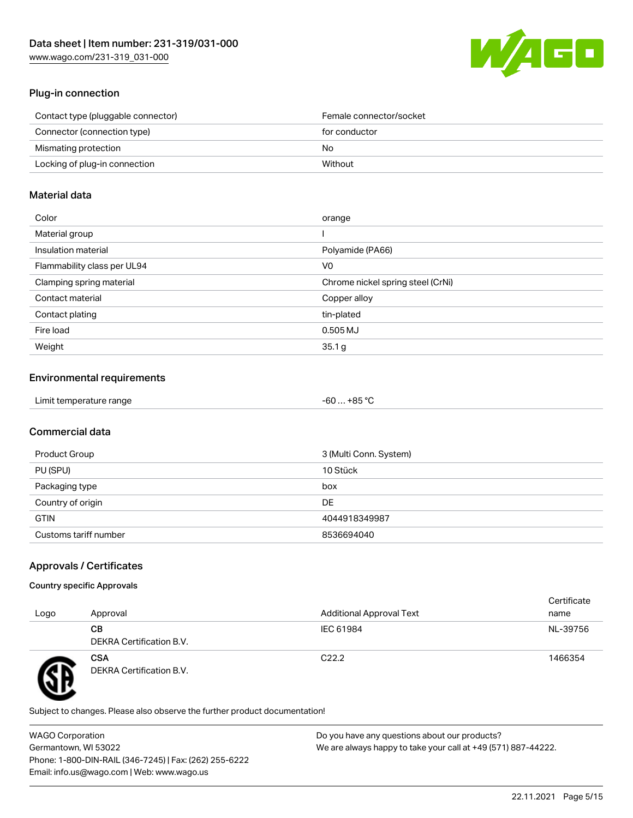

## Plug-in connection

| Contact type (pluggable connector) | Female connector/socket |
|------------------------------------|-------------------------|
| Connector (connection type)        | for conductor           |
| Mismating protection               | No.                     |
| Locking of plug-in connection      | Without                 |
|                                    |                         |

#### Material data

| Color                       | orange                            |
|-----------------------------|-----------------------------------|
| Material group              |                                   |
| Insulation material         | Polyamide (PA66)                  |
| Flammability class per UL94 | V <sub>0</sub>                    |
| Clamping spring material    | Chrome nickel spring steel (CrNi) |
| Contact material            | Copper alloy                      |
| Contact plating             | tin-plated                        |
| Fire load                   | 0.505 MJ                          |
| Weight                      | 35.1 g                            |

## Environmental requirements

| Limit temperature range<br>$\blacksquare$ . The contract of the contract of the contract of the contract of the contract of the contract of the contract of the contract of the contract of the contract of the contract of the contract of the contract of the | . +85 °Ր<br>-60 |
|-----------------------------------------------------------------------------------------------------------------------------------------------------------------------------------------------------------------------------------------------------------------|-----------------|
|-----------------------------------------------------------------------------------------------------------------------------------------------------------------------------------------------------------------------------------------------------------------|-----------------|

## Commercial data

| Product Group         | 3 (Multi Conn. System) |
|-----------------------|------------------------|
| PU (SPU)              | 10 Stück               |
| Packaging type        | box                    |
| Country of origin     | <b>DE</b>              |
| <b>GTIN</b>           | 4044918349987          |
| Customs tariff number | 8536694040             |

## Approvals / Certificates

#### Country specific Approvals

| Logo | Approval                               | <b>Additional Approval Text</b> | Certificate<br>name |
|------|----------------------------------------|---------------------------------|---------------------|
|      | CВ<br>DEKRA Certification B.V.         | IEC 61984                       | NL-39756            |
|      | <b>CSA</b><br>DEKRA Certification B.V. | C <sub>22.2</sub>               | 1466354             |

Subject to changes. Please also observe the further product documentation!

WAGO Corporation Germantown, WI 53022 Phone: 1-800-DIN-RAIL (346-7245) | Fax: (262) 255-6222 Email: info.us@wago.com | Web: www.wago.us Do you have any questions about our products? We are always happy to take your call at +49 (571) 887-44222.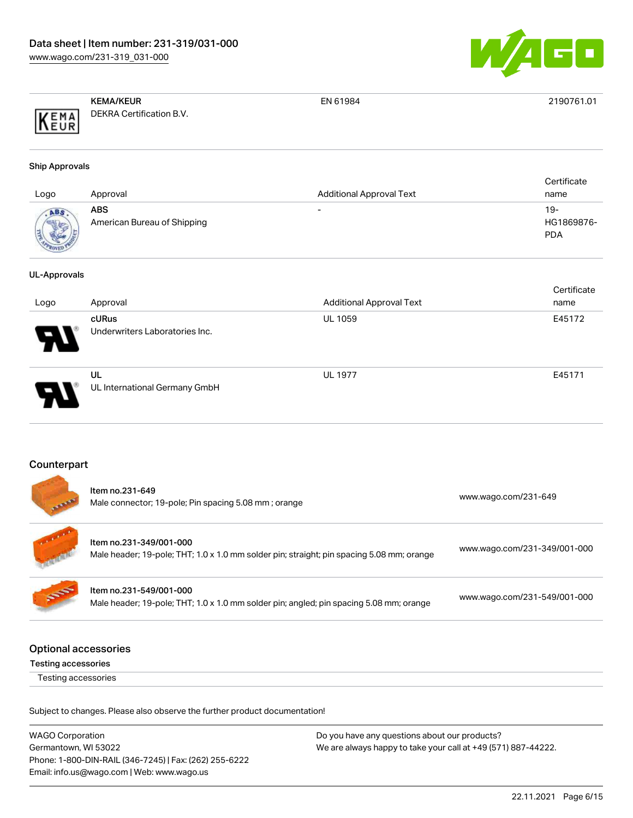

|      | <b>KEMA/KEUR</b>         | EN 61984 | 2190761.01 |
|------|--------------------------|----------|------------|
| KEMA | DEKRA Certification B.V. |          |            |

#### Ship Approvals

| Logo               | Approval                           | <b>Additional Approval Text</b> | Certificate<br>name             |
|--------------------|------------------------------------|---------------------------------|---------------------------------|
| ABS<br><b>MOVE</b> | ABS<br>American Bureau of Shipping | $\overline{\phantom{0}}$        | 19-<br>HG1869876-<br><b>PDA</b> |

#### UL-Approvals

|                            |                                         |                                 | Certificate |
|----------------------------|-----------------------------------------|---------------------------------|-------------|
| Logo                       | Approval                                | <b>Additional Approval Text</b> | name        |
| $\boldsymbol{\mathcal{P}}$ | cURus<br>Underwriters Laboratories Inc. | <b>UL 1059</b>                  | E45172      |
| D.                         | UL<br>UL International Germany GmbH     | <b>UL 1977</b>                  | E45171      |

### Counterpart

|                             | Item no.231-649<br>Male connector; 19-pole; Pin spacing 5.08 mm; orange                                              | www.wago.com/231-649         |
|-----------------------------|----------------------------------------------------------------------------------------------------------------------|------------------------------|
|                             | Item no.231-349/001-000<br>Male header; 19-pole; THT; 1.0 x 1.0 mm solder pin; straight; pin spacing 5.08 mm; orange | www.wago.com/231-349/001-000 |
| <b>SORT</b>                 | Item no.231-549/001-000<br>Male header; 19-pole; THT; 1.0 x 1.0 mm solder pin; angled; pin spacing 5.08 mm; orange   | www.wago.com/231-549/001-000 |
| <b>Optional accessories</b> |                                                                                                                      |                              |

Testing accessories

Testing accessories

Subject to changes. Please also observe the further product documentation!

| <b>WAGO Corporation</b>                                | Do you have any questions about our products?                 |
|--------------------------------------------------------|---------------------------------------------------------------|
| Germantown, WI 53022                                   | We are always happy to take your call at +49 (571) 887-44222. |
| Phone: 1-800-DIN-RAIL (346-7245)   Fax: (262) 255-6222 |                                                               |
| Email: info.us@wago.com   Web: www.wago.us             |                                                               |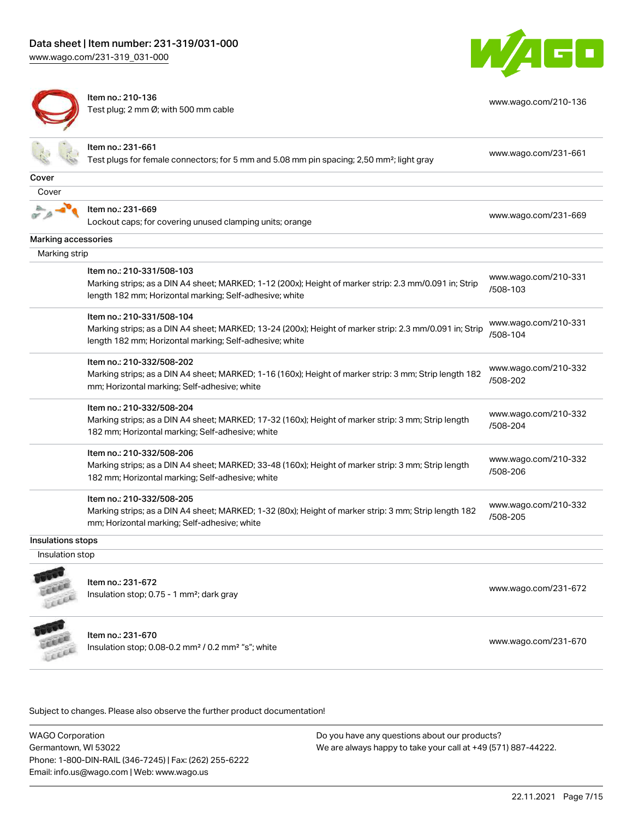[www.wago.com/231-319\\_031-000](http://www.wago.com/231-319_031-000)



[www.wago.com/210-136](http://www.wago.com/210-136)



Item no.: 210-136 Test plug; 2 mm Ø; with 500 mm cable

|                     | ltem no.: 231-661<br>Test plugs for female connectors; for 5 mm and 5.08 mm pin spacing; 2,50 mm <sup>2</sup> ; light gray                                                                      | www.wago.com/231-661             |
|---------------------|-------------------------------------------------------------------------------------------------------------------------------------------------------------------------------------------------|----------------------------------|
| Cover               |                                                                                                                                                                                                 |                                  |
| Cover               |                                                                                                                                                                                                 |                                  |
|                     | Item no.: 231-669<br>Lockout caps; for covering unused clamping units; orange                                                                                                                   | www.wago.com/231-669             |
| Marking accessories |                                                                                                                                                                                                 |                                  |
| Marking strip       |                                                                                                                                                                                                 |                                  |
|                     | Item no.: 210-331/508-103<br>Marking strips; as a DIN A4 sheet; MARKED; 1-12 (200x); Height of marker strip: 2.3 mm/0.091 in; Strip<br>length 182 mm; Horizontal marking; Self-adhesive; white  | www.wago.com/210-331<br>/508-103 |
|                     | Item no.: 210-331/508-104<br>Marking strips; as a DIN A4 sheet; MARKED; 13-24 (200x); Height of marker strip: 2.3 mm/0.091 in; Strip<br>length 182 mm; Horizontal marking; Self-adhesive; white | www.wago.com/210-331<br>/508-104 |
|                     | Item no.: 210-332/508-202<br>Marking strips; as a DIN A4 sheet; MARKED; 1-16 (160x); Height of marker strip: 3 mm; Strip length 182<br>mm; Horizontal marking; Self-adhesive; white             | www.wago.com/210-332<br>/508-202 |
|                     | Item no.: 210-332/508-204<br>Marking strips; as a DIN A4 sheet; MARKED; 17-32 (160x); Height of marker strip: 3 mm; Strip length<br>182 mm; Horizontal marking; Self-adhesive; white            | www.wago.com/210-332<br>/508-204 |
|                     | Item no.: 210-332/508-206<br>Marking strips; as a DIN A4 sheet; MARKED; 33-48 (160x); Height of marker strip: 3 mm; Strip length<br>182 mm; Horizontal marking; Self-adhesive; white            | www.wago.com/210-332<br>/508-206 |
|                     | Item no.: 210-332/508-205<br>Marking strips; as a DIN A4 sheet; MARKED; 1-32 (80x); Height of marker strip: 3 mm; Strip length 182<br>mm; Horizontal marking; Self-adhesive; white              | www.wago.com/210-332<br>/508-205 |
| Insulations stops   |                                                                                                                                                                                                 |                                  |
| Insulation stop     |                                                                                                                                                                                                 |                                  |
|                     | Item no.: 231-672<br>Insulation stop; 0.75 - 1 mm <sup>2</sup> ; dark gray                                                                                                                      | www.wago.com/231-672             |
|                     |                                                                                                                                                                                                 |                                  |



Item no.: 231-670 Insulation stop; 0.08-0.2 mm<sup>2</sup> / 0.2 mm<sup>2</sup> "s"; white [www.wago.com/231-670](http://www.wago.com/231-670) www.wago.com/231-670

Subject to changes. Please also observe the further product documentation!

WAGO Corporation Germantown, WI 53022 Phone: 1-800-DIN-RAIL (346-7245) | Fax: (262) 255-6222 Email: info.us@wago.com | Web: www.wago.us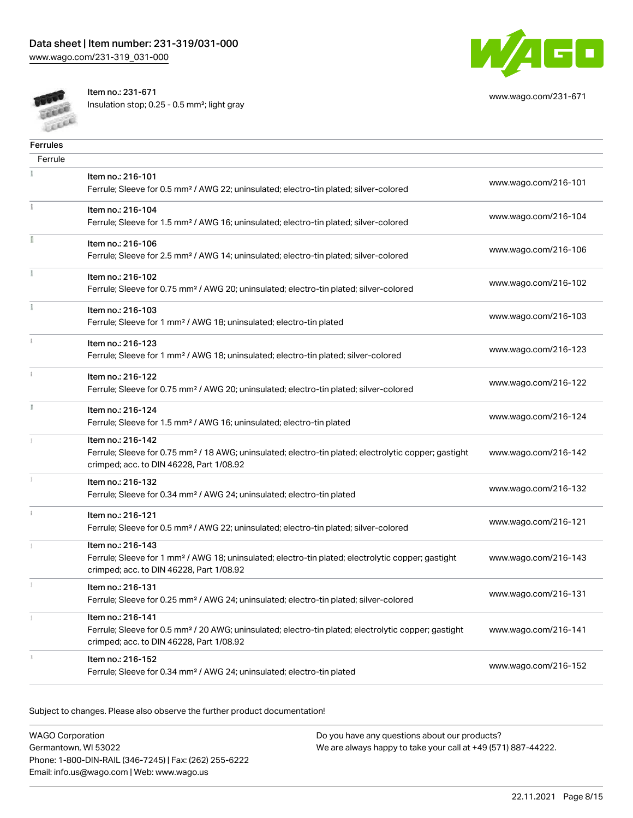

[www.wago.com/231-671](http://www.wago.com/231-671)

**CALL** Cecce Item no.: 231-671

Insulation stop; 0.25 - 0.5 mm²; light gray

| <b>Ferrules</b> |                                                                                                                                                                                    |                      |
|-----------------|------------------------------------------------------------------------------------------------------------------------------------------------------------------------------------|----------------------|
| Ferrule         |                                                                                                                                                                                    |                      |
|                 | Item no.: 216-101<br>Ferrule; Sleeve for 0.5 mm <sup>2</sup> / AWG 22; uninsulated; electro-tin plated; silver-colored                                                             | www.wago.com/216-101 |
|                 | Item no.: 216-104<br>Ferrule; Sleeve for 1.5 mm <sup>2</sup> / AWG 16; uninsulated; electro-tin plated; silver-colored                                                             | www.wago.com/216-104 |
|                 | Item no.: 216-106<br>Ferrule; Sleeve for 2.5 mm <sup>2</sup> / AWG 14; uninsulated; electro-tin plated; silver-colored                                                             | www.wago.com/216-106 |
|                 | Item no.: 216-102<br>Ferrule; Sleeve for 0.75 mm <sup>2</sup> / AWG 20; uninsulated; electro-tin plated; silver-colored                                                            | www.wago.com/216-102 |
|                 | Item no.: 216-103<br>Ferrule; Sleeve for 1 mm <sup>2</sup> / AWG 18; uninsulated; electro-tin plated                                                                               | www.wago.com/216-103 |
|                 | Item no.: 216-123<br>Ferrule; Sleeve for 1 mm <sup>2</sup> / AWG 18; uninsulated; electro-tin plated; silver-colored                                                               | www.wago.com/216-123 |
|                 | Item no.: 216-122<br>Ferrule; Sleeve for 0.75 mm <sup>2</sup> / AWG 20; uninsulated; electro-tin plated; silver-colored                                                            | www.wago.com/216-122 |
| B               | Item no.: 216-124<br>Ferrule; Sleeve for 1.5 mm <sup>2</sup> / AWG 16; uninsulated; electro-tin plated                                                                             | www.wago.com/216-124 |
|                 | Item no.: 216-142<br>Ferrule; Sleeve for 0.75 mm <sup>2</sup> / 18 AWG; uninsulated; electro-tin plated; electrolytic copper; gastight<br>crimped; acc. to DIN 46228, Part 1/08.92 | www.wago.com/216-142 |
|                 | Item no.: 216-132<br>Ferrule; Sleeve for 0.34 mm <sup>2</sup> / AWG 24; uninsulated; electro-tin plated                                                                            | www.wago.com/216-132 |
| ž.              | Item no.: 216-121<br>Ferrule; Sleeve for 0.5 mm <sup>2</sup> / AWG 22; uninsulated; electro-tin plated; silver-colored                                                             | www.wago.com/216-121 |
|                 | Item no.: 216-143<br>Ferrule; Sleeve for 1 mm <sup>2</sup> / AWG 18; uninsulated; electro-tin plated; electrolytic copper; gastight<br>crimped; acc. to DIN 46228, Part 1/08.92    | www.wago.com/216-143 |
|                 | Item no.: 216-131<br>Ferrule; Sleeve for 0.25 mm <sup>2</sup> / AWG 24; uninsulated; electro-tin plated; silver-colored                                                            | www.wago.com/216-131 |
| 1               | Item no.: 216-141<br>Ferrule; Sleeve for 0.5 mm <sup>2</sup> / 20 AWG; uninsulated; electro-tin plated; electrolytic copper; gastight<br>crimped; acc. to DIN 46228, Part 1/08.92  | www.wago.com/216-141 |
|                 | Item no.: 216-152<br>Ferrule; Sleeve for 0.34 mm <sup>2</sup> / AWG 24; uninsulated; electro-tin plated                                                                            | www.wago.com/216-152 |

Subject to changes. Please also observe the further product documentation!

WAGO Corporation Germantown, WI 53022 Phone: 1-800-DIN-RAIL (346-7245) | Fax: (262) 255-6222 Email: info.us@wago.com | Web: www.wago.us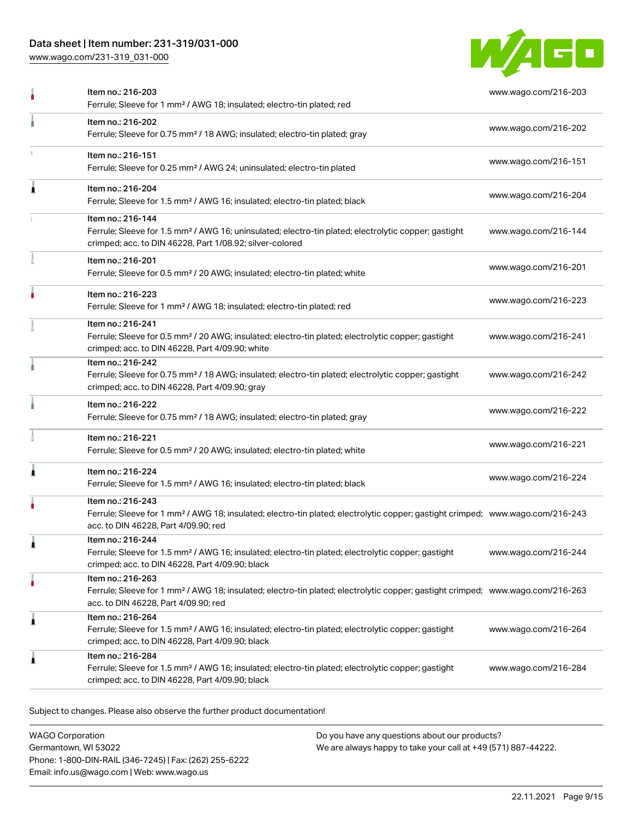## Data sheet | Item number: 231-319/031-000

[www.wago.com/231-319\\_031-000](http://www.wago.com/231-319_031-000)



|   | Item no.: 216-203<br>Ferrule; Sleeve for 1 mm <sup>2</sup> / AWG 18; insulated; electro-tin plated; red                                                                                                 | www.wago.com/216-203 |
|---|---------------------------------------------------------------------------------------------------------------------------------------------------------------------------------------------------------|----------------------|
|   | Item no.: 216-202<br>Ferrule; Sleeve for 0.75 mm <sup>2</sup> / 18 AWG; insulated; electro-tin plated; gray                                                                                             | www.wago.com/216-202 |
|   | Item no.: 216-151<br>Ferrule; Sleeve for 0.25 mm <sup>2</sup> / AWG 24; uninsulated; electro-tin plated                                                                                                 | www.wago.com/216-151 |
|   | Item no.: 216-204<br>Ferrule; Sleeve for 1.5 mm <sup>2</sup> / AWG 16; insulated; electro-tin plated; black                                                                                             | www.wago.com/216-204 |
|   | Item no.: 216-144<br>Ferrule; Sleeve for 1.5 mm <sup>2</sup> / AWG 16; uninsulated; electro-tin plated; electrolytic copper; gastight<br>crimped; acc. to DIN 46228, Part 1/08.92; silver-colored       | www.wago.com/216-144 |
|   | Item no.: 216-201<br>Ferrule; Sleeve for 0.5 mm <sup>2</sup> / 20 AWG; insulated; electro-tin plated; white                                                                                             | www.wago.com/216-201 |
|   | Item no.: 216-223<br>Ferrule; Sleeve for 1 mm <sup>2</sup> / AWG 18; insulated; electro-tin plated; red                                                                                                 | www.wago.com/216-223 |
|   | Item no.: 216-241<br>Ferrule; Sleeve for 0.5 mm <sup>2</sup> / 20 AWG; insulated; electro-tin plated; electrolytic copper; gastight<br>crimped; acc. to DIN 46228, Part 4/09.90; white                  | www.wago.com/216-241 |
|   | Item no.: 216-242<br>Ferrule; Sleeve for 0.75 mm <sup>2</sup> / 18 AWG; insulated; electro-tin plated; electrolytic copper; gastight<br>crimped; acc. to DIN 46228, Part 4/09.90; gray                  | www.wago.com/216-242 |
|   | Item no.: 216-222<br>Ferrule; Sleeve for 0.75 mm <sup>2</sup> / 18 AWG; insulated; electro-tin plated; gray                                                                                             | www.wago.com/216-222 |
|   | Item no.: 216-221<br>Ferrule; Sleeve for 0.5 mm <sup>2</sup> / 20 AWG; insulated; electro-tin plated; white                                                                                             | www.wago.com/216-221 |
|   | Item no.: 216-224<br>Ferrule; Sleeve for 1.5 mm <sup>2</sup> / AWG 16; insulated; electro-tin plated; black                                                                                             | www.wago.com/216-224 |
|   | Item no.: 216-243<br>Ferrule; Sleeve for 1 mm <sup>2</sup> / AWG 18; insulated; electro-tin plated; electrolytic copper; gastight crimped; www.wago.com/216-243<br>acc. to DIN 46228, Part 4/09.90; red |                      |
|   | Item no.: 216-244<br>Ferrule; Sleeve for 1.5 mm <sup>2</sup> / AWG 16; insulated; electro-tin plated; electrolytic copper; gastight<br>crimped; acc. to DIN 46228, Part 4/09.90; black                  | www.wago.com/216-244 |
|   | Item no.: 216-263<br>Ferrule; Sleeve for 1 mm <sup>2</sup> / AWG 18; insulated; electro-tin plated; electrolytic copper; gastight crimped; www.wago.com/216-263<br>acc. to DIN 46228, Part 4/09.90; red |                      |
| 1 | Item no.: 216-264<br>Ferrule; Sleeve for 1.5 mm <sup>2</sup> / AWG 16; insulated; electro-tin plated; electrolytic copper; gastight<br>crimped; acc. to DIN 46228, Part 4/09.90; black                  | www.wago.com/216-264 |
|   | Item no.: 216-284<br>Ferrule; Sleeve for 1.5 mm <sup>2</sup> / AWG 16; insulated; electro-tin plated; electrolytic copper; gastight<br>crimped; acc. to DIN 46228, Part 4/09.90; black                  | www.wago.com/216-284 |

Subject to changes. Please also observe the further product documentation!

WAGO Corporation Germantown, WI 53022 Phone: 1-800-DIN-RAIL (346-7245) | Fax: (262) 255-6222 Email: info.us@wago.com | Web: www.wago.us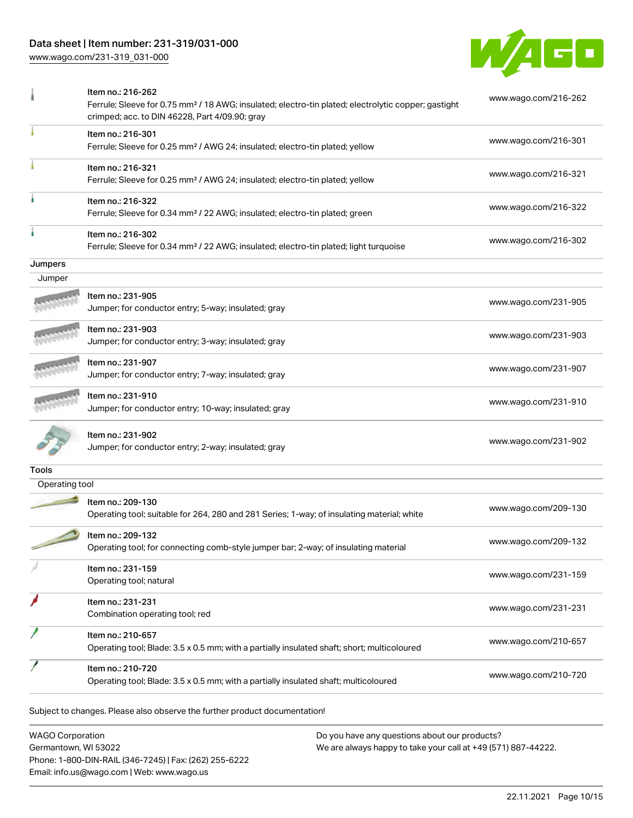## Data sheet | Item number: 231-319/031-000

[www.wago.com/231-319\\_031-000](http://www.wago.com/231-319_031-000)



|                | Item no.: 216-262<br>Ferrule; Sleeve for 0.75 mm <sup>2</sup> / 18 AWG; insulated; electro-tin plated; electrolytic copper; gastight<br>crimped; acc. to DIN 46228, Part 4/09.90; gray | www.wago.com/216-262 |
|----------------|----------------------------------------------------------------------------------------------------------------------------------------------------------------------------------------|----------------------|
|                | Item no.: 216-301<br>Ferrule; Sleeve for 0.25 mm <sup>2</sup> / AWG 24; insulated; electro-tin plated; yellow                                                                          | www.wago.com/216-301 |
|                | Item no.: 216-321<br>Ferrule; Sleeve for 0.25 mm <sup>2</sup> / AWG 24; insulated; electro-tin plated; yellow                                                                          | www.wago.com/216-321 |
|                | Item no.: 216-322<br>Ferrule; Sleeve for 0.34 mm <sup>2</sup> / 22 AWG; insulated; electro-tin plated; green                                                                           | www.wago.com/216-322 |
|                | Item no.: 216-302<br>Ferrule; Sleeve for 0.34 mm <sup>2</sup> / 22 AWG; insulated; electro-tin plated; light turquoise                                                                 | www.wago.com/216-302 |
| Jumpers        |                                                                                                                                                                                        |                      |
| Jumper         |                                                                                                                                                                                        |                      |
|                | Item no.: 231-905<br>Jumper; for conductor entry; 5-way; insulated; gray                                                                                                               | www.wago.com/231-905 |
|                | Item no.: 231-903<br>Jumper; for conductor entry; 3-way; insulated; gray                                                                                                               | www.wago.com/231-903 |
|                | Item no.: 231-907<br>Jumper; for conductor entry; 7-way; insulated; gray                                                                                                               | www.wago.com/231-907 |
|                | Item no.: 231-910<br>Jumper; for conductor entry; 10-way; insulated; gray                                                                                                              | www.wago.com/231-910 |
|                | Item no.: 231-902<br>Jumper; for conductor entry; 2-way; insulated; gray                                                                                                               | www.wago.com/231-902 |
| Tools          |                                                                                                                                                                                        |                      |
| Operating tool |                                                                                                                                                                                        |                      |
|                | Item no.: 209-130<br>Operating tool; suitable for 264, 280 and 281 Series; 1-way; of insulating material; white                                                                        | www.wago.com/209-130 |
|                | Item no.: 209-132<br>Operating tool; for connecting comb-style jumper bar; 2-way; of insulating material                                                                               | www.wago.com/209-132 |
|                | Item no.: 231-159<br>Operating tool; natural                                                                                                                                           | www.wago.com/231-159 |
|                | Item no.: 231-231<br>Combination operating tool; red                                                                                                                                   | www.wago.com/231-231 |
|                | Item no.: 210-657<br>Operating tool; Blade: 3.5 x 0.5 mm; with a partially insulated shaft; short; multicoloured                                                                       | www.wago.com/210-657 |
|                | Item no.: 210-720<br>Operating tool; Blade: 3.5 x 0.5 mm; with a partially insulated shaft; multicoloured                                                                              | www.wago.com/210-720 |

WAGO Corporation Germantown, WI 53022 Phone: 1-800-DIN-RAIL (346-7245) | Fax: (262) 255-6222 Email: info.us@wago.com | Web: www.wago.us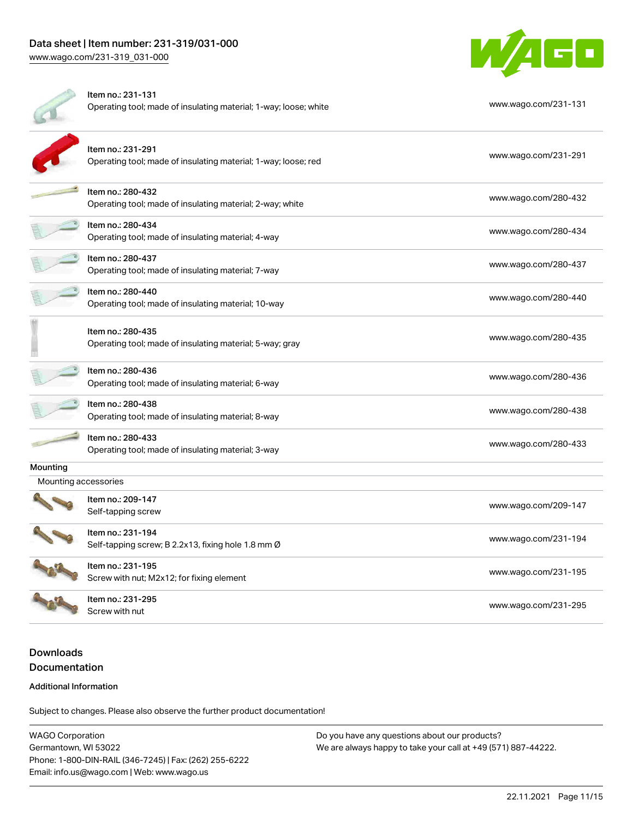

|                      | Item no.: 231-131<br>Operating tool; made of insulating material; 1-way; loose; white | www.wago.com/231-131 |
|----------------------|---------------------------------------------------------------------------------------|----------------------|
|                      | Item no.: 231-291<br>Operating tool; made of insulating material; 1-way; loose; red   | www.wago.com/231-291 |
|                      | Item no.: 280-432<br>Operating tool; made of insulating material; 2-way; white        | www.wago.com/280-432 |
|                      | Item no.: 280-434<br>Operating tool; made of insulating material; 4-way               | www.wago.com/280-434 |
|                      | Item no.: 280-437<br>Operating tool; made of insulating material; 7-way               | www.wago.com/280-437 |
|                      | Item no.: 280-440<br>Operating tool; made of insulating material; 10-way              | www.wago.com/280-440 |
|                      | Item no.: 280-435<br>Operating tool; made of insulating material; 5-way; gray         | www.wago.com/280-435 |
|                      | Item no.: 280-436<br>Operating tool; made of insulating material; 6-way               | www.wago.com/280-436 |
|                      | Item no.: 280-438<br>Operating tool; made of insulating material; 8-way               | www.wago.com/280-438 |
|                      | Item no.: 280-433<br>Operating tool; made of insulating material; 3-way               | www.wago.com/280-433 |
| Mounting             |                                                                                       |                      |
| Mounting accessories |                                                                                       |                      |
|                      | Item no.: 209-147<br>Self-tapping screw                                               | www.wago.com/209-147 |
|                      | Item no.: 231-194<br>Self-tapping screw; B 2.2x13, fixing hole 1.8 mm Ø               | www.wago.com/231-194 |
|                      | Item no.: 231-195<br>Screw with nut; M2x12; for fixing element                        | www.wago.com/231-195 |
|                      | Item no.: 231-295<br>Screw with nut                                                   | www.wago.com/231-295 |

## Downloads Documentation

#### Additional Information

Subject to changes. Please also observe the further product documentation!

WAGO Corporation Germantown, WI 53022 Phone: 1-800-DIN-RAIL (346-7245) | Fax: (262) 255-6222 Email: info.us@wago.com | Web: www.wago.us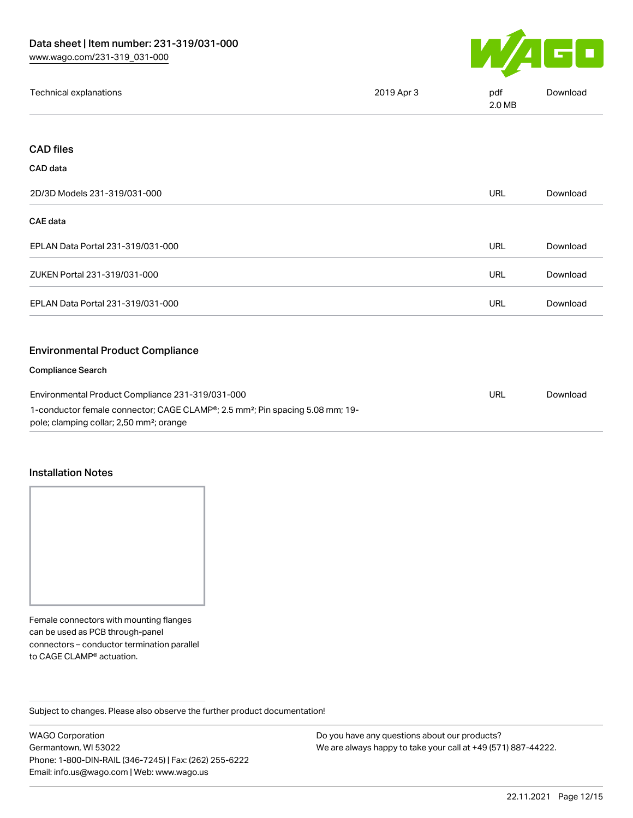

| Technical explanations                                                                                                                            | 2019 Apr 3 | pdf<br>2.0 MB | Download |
|---------------------------------------------------------------------------------------------------------------------------------------------------|------------|---------------|----------|
|                                                                                                                                                   |            |               |          |
| <b>CAD files</b>                                                                                                                                  |            |               |          |
| <b>CAD</b> data                                                                                                                                   |            |               |          |
| 2D/3D Models 231-319/031-000                                                                                                                      |            | <b>URL</b>    | Download |
| CAE data                                                                                                                                          |            |               |          |
| EPLAN Data Portal 231-319/031-000                                                                                                                 |            | <b>URL</b>    | Download |
| ZUKEN Portal 231-319/031-000                                                                                                                      |            | <b>URL</b>    | Download |
| EPLAN Data Portal 231-319/031-000                                                                                                                 |            | <b>URL</b>    | Download |
|                                                                                                                                                   |            |               |          |
| <b>Environmental Product Compliance</b>                                                                                                           |            |               |          |
| <b>Compliance Search</b>                                                                                                                          |            |               |          |
| Environmental Product Compliance 231-319/031-000                                                                                                  |            | <b>URL</b>    | Download |
| 1-conductor female connector; CAGE CLAMP®; 2.5 mm <sup>2</sup> ; Pin spacing 5.08 mm; 19-<br>pole; clamping collar; 2,50 mm <sup>2</sup> ; orange |            |               |          |

#### Installation Notes

Female connectors with mounting flanges can be used as PCB through-panel connectors – conductor termination parallel to CAGE CLAMP® actuation.

Subject to changes. Please also observe the further product documentation!

WAGO Corporation Germantown, WI 53022 Phone: 1-800-DIN-RAIL (346-7245) | Fax: (262) 255-6222 Email: info.us@wago.com | Web: www.wago.us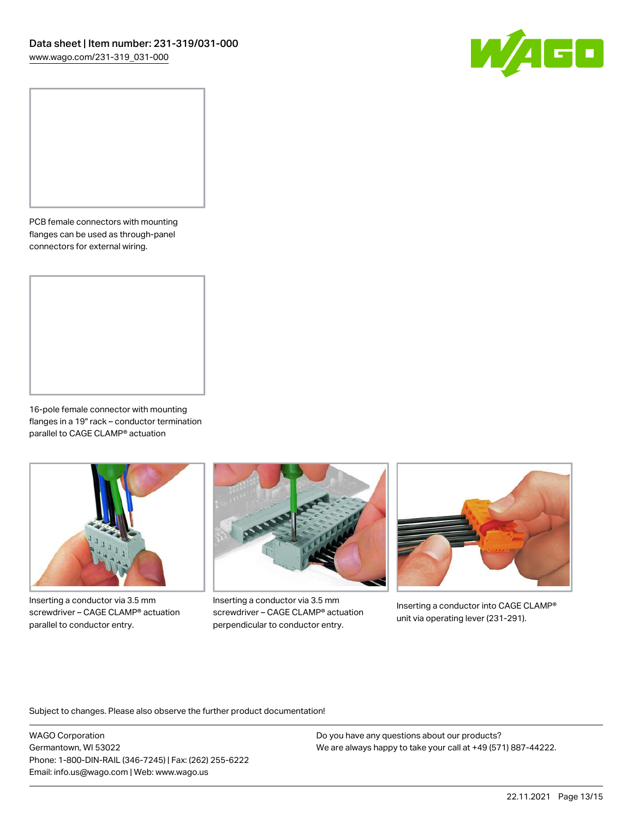

PCB female connectors with mounting flanges can be used as through-panel connectors for external wiring.

16-pole female connector with mounting flanges in a 19" rack – conductor termination parallel to CAGE CLAMP® actuation



Inserting a conductor via 3.5 mm screwdriver – CAGE CLAMP® actuation parallel to conductor entry.



Inserting a conductor via 3.5 mm screwdriver – CAGE CLAMP® actuation perpendicular to conductor entry.



Inserting a conductor into CAGE CLAMP® unit via operating lever (231-291).

Subject to changes. Please also observe the further product documentation!

WAGO Corporation Germantown, WI 53022 Phone: 1-800-DIN-RAIL (346-7245) | Fax: (262) 255-6222 Email: info.us@wago.com | Web: www.wago.us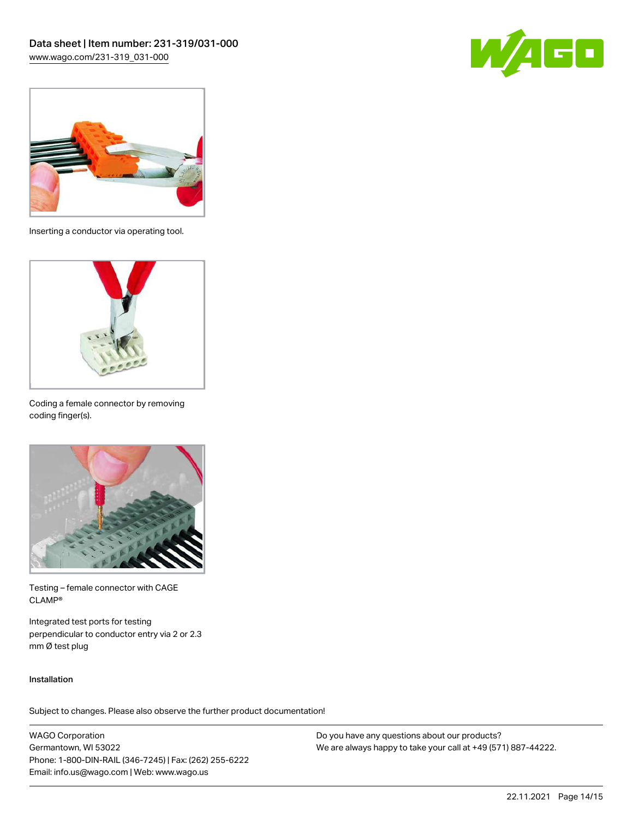



Inserting a conductor via operating tool.



Coding a female connector by removing coding finger(s).



Testing – female connector with CAGE CLAMP®

Integrated test ports for testing perpendicular to conductor entry via 2 or 2.3 mm Ø test plug

#### Installation

Subject to changes. Please also observe the further product documentation!

WAGO Corporation Germantown, WI 53022 Phone: 1-800-DIN-RAIL (346-7245) | Fax: (262) 255-6222 Email: info.us@wago.com | Web: www.wago.us